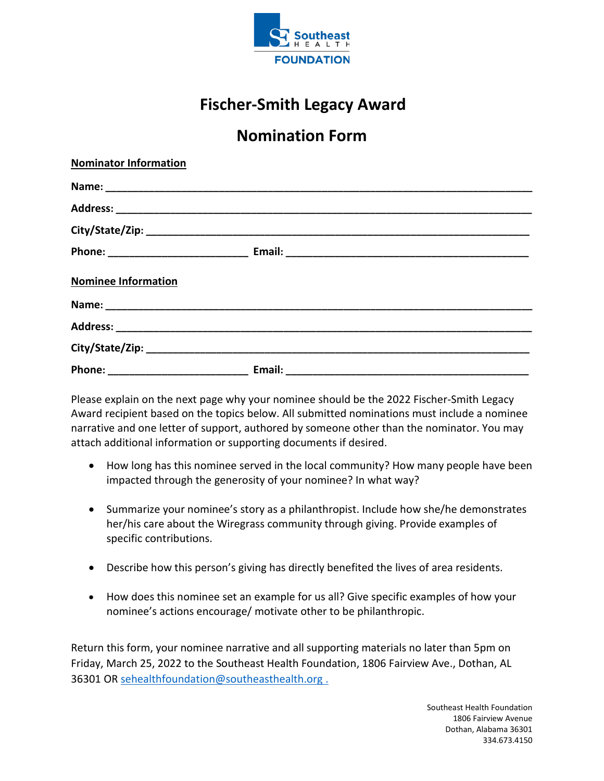

## **Fischer-Smith Legacy Award**

## **Nomination Form**

| <b>Nominator Information</b> |  |
|------------------------------|--|
|                              |  |
|                              |  |
|                              |  |
|                              |  |
| <b>Nominee Information</b>   |  |
|                              |  |
|                              |  |
|                              |  |
|                              |  |

Please explain on the next page why your nominee should be the 2022 Fischer-Smith Legacy Award recipient based on the topics below. All submitted nominations must include a nominee narrative and one letter of support, authored by someone other than the nominator. You may attach additional information or supporting documents if desired.

- How long has this nominee served in the local community? How many people have been impacted through the generosity of your nominee? In what way?
- Summarize your nominee's story as a philanthropist. Include how she/he demonstrates her/his care about the Wiregrass community through giving. Provide examples of specific contributions.
- Describe how this person's giving has directly benefited the lives of area residents.
- How does this nominee set an example for us all? Give specific examples of how your nominee's actions encourage/ motivate other to be philanthropic.

Return this form, your nominee narrative and all supporting materials no later than 5pm on Friday, March 25, 2022 to the Southeast Health Foundation, 1806 Fairview Ave., Dothan, AL 36301 OR [sehealthfoundation@southeasthealth.org](mailto:sehealthfoundation@southeasthealth.org) .